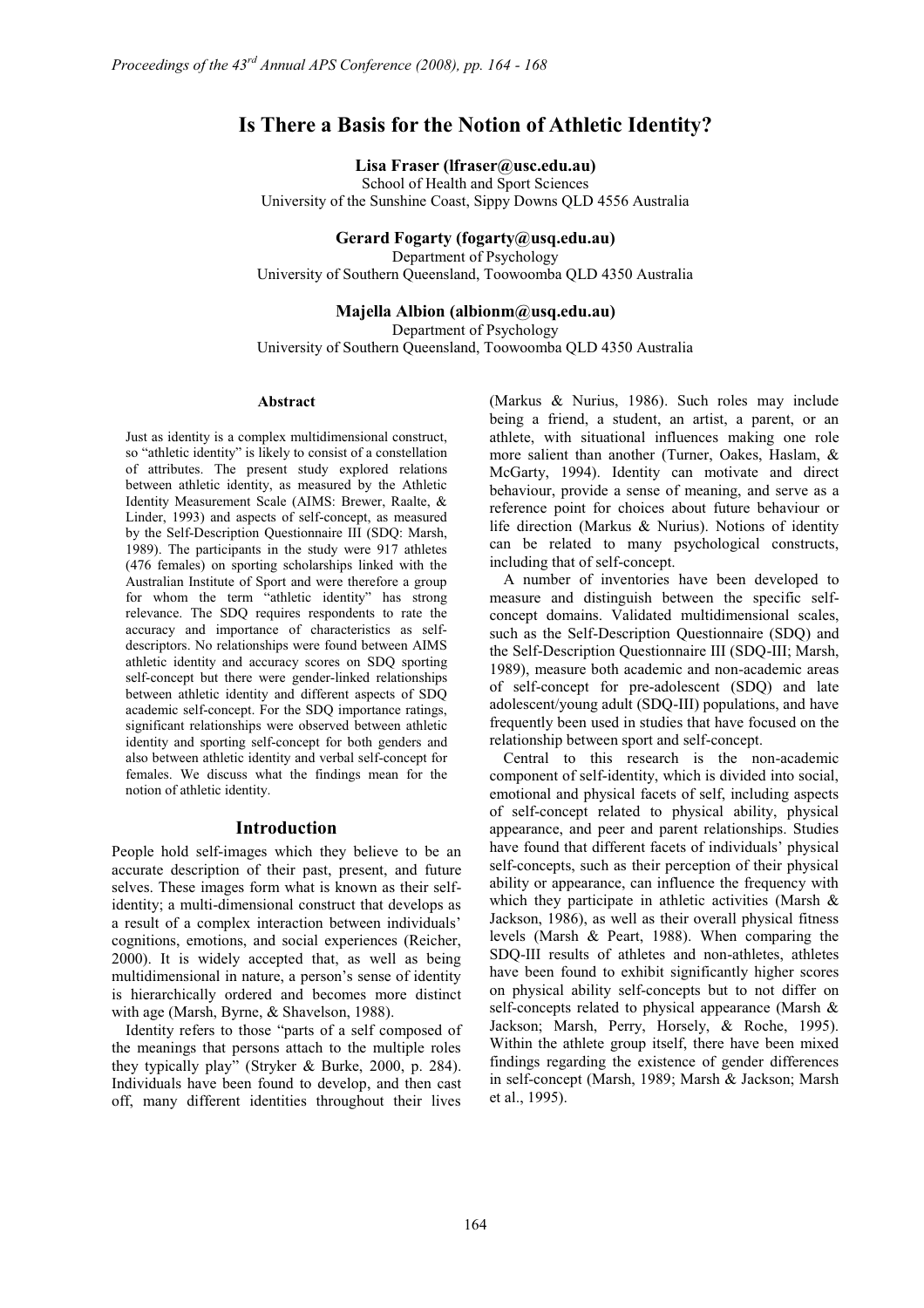# **Is There a Basis for the Notion of Athletic Identity?**

**Lisa Fraser (lfraser@usc.edu.au)** 

School of Health and Sport Sciences University of the Sunshine Coast, Sippy Downs QLD 4556 Australia

**Gerard Fogarty (fogarty@usq.edu.au)** 

Department of Psychology University of Southern Queensland, Toowoomba QLD 4350 Australia

**Majella Albion (albionm@usq.edu.au)** 

Department of Psychology University of Southern Queensland, Toowoomba QLD 4350 Australia

#### **Abstract**

Just as identity is a complex multidimensional construct, so "athletic identity" is likely to consist of a constellation of attributes. The present study explored relations between athletic identity, as measured by the Athletic Identity Measurement Scale (AIMS: Brewer, Raalte, & Linder, 1993) and aspects of self-concept, as measured by the Self-Description Questionnaire III (SDQ: Marsh, 1989). The participants in the study were 917 athletes (476 females) on sporting scholarships linked with the Australian Institute of Sport and were therefore a group for whom the term "athletic identity" has strong relevance. The SDQ requires respondents to rate the accuracy and importance of characteristics as selfdescriptors. No relationships were found between AIMS athletic identity and accuracy scores on SDQ sporting self-concept but there were gender-linked relationships between athletic identity and different aspects of SDQ academic self-concept. For the SDQ importance ratings, significant relationships were observed between athletic identity and sporting self-concept for both genders and also between athletic identity and verbal self-concept for females. We discuss what the findings mean for the notion of athletic identity.

## **Introduction**

People hold self-images which they believe to be an accurate description of their past, present, and future selves. These images form what is known as their selfidentity; a multi-dimensional construct that develops as a result of a complex interaction between individuals' cognitions, emotions, and social experiences (Reicher, 2000). It is widely accepted that, as well as being multidimensional in nature, a person's sense of identity is hierarchically ordered and becomes more distinct with age (Marsh, Byrne, & Shavelson, 1988).

Identity refers to those "parts of a self composed of the meanings that persons attach to the multiple roles they typically play" (Stryker & Burke, 2000, p. 284). Individuals have been found to develop, and then cast off, many different identities throughout their lives

(Markus & Nurius, 1986). Such roles may include being a friend, a student, an artist, a parent, or an athlete, with situational influences making one role more salient than another (Turner, Oakes, Haslam, & McGarty, 1994). Identity can motivate and direct behaviour, provide a sense of meaning, and serve as a reference point for choices about future behaviour or life direction (Markus & Nurius). Notions of identity can be related to many psychological constructs, including that of self-concept.

A number of inventories have been developed to measure and distinguish between the specific selfconcept domains. Validated multidimensional scales, such as the Self-Description Questionnaire (SDQ) and the Self-Description Questionnaire III (SDQ-III; Marsh, 1989), measure both academic and non-academic areas of self-concept for pre-adolescent (SDQ) and late adolescent/young adult (SDQ-III) populations, and have frequently been used in studies that have focused on the relationship between sport and self-concept.

Central to this research is the non-academic component of self-identity, which is divided into social, emotional and physical facets of self, including aspects of self-concept related to physical ability, physical appearance, and peer and parent relationships. Studies have found that different facets of individuals' physical self-concepts, such as their perception of their physical ability or appearance, can influence the frequency with which they participate in athletic activities (Marsh & Jackson, 1986), as well as their overall physical fitness levels (Marsh & Peart, 1988). When comparing the SDQ-III results of athletes and non-athletes, athletes have been found to exhibit significantly higher scores on physical ability self-concepts but to not differ on self-concepts related to physical appearance (Marsh & Jackson; Marsh, Perry, Horsely, & Roche, 1995). Within the athlete group itself, there have been mixed findings regarding the existence of gender differences in self-concept (Marsh, 1989; Marsh & Jackson; Marsh et al., 1995).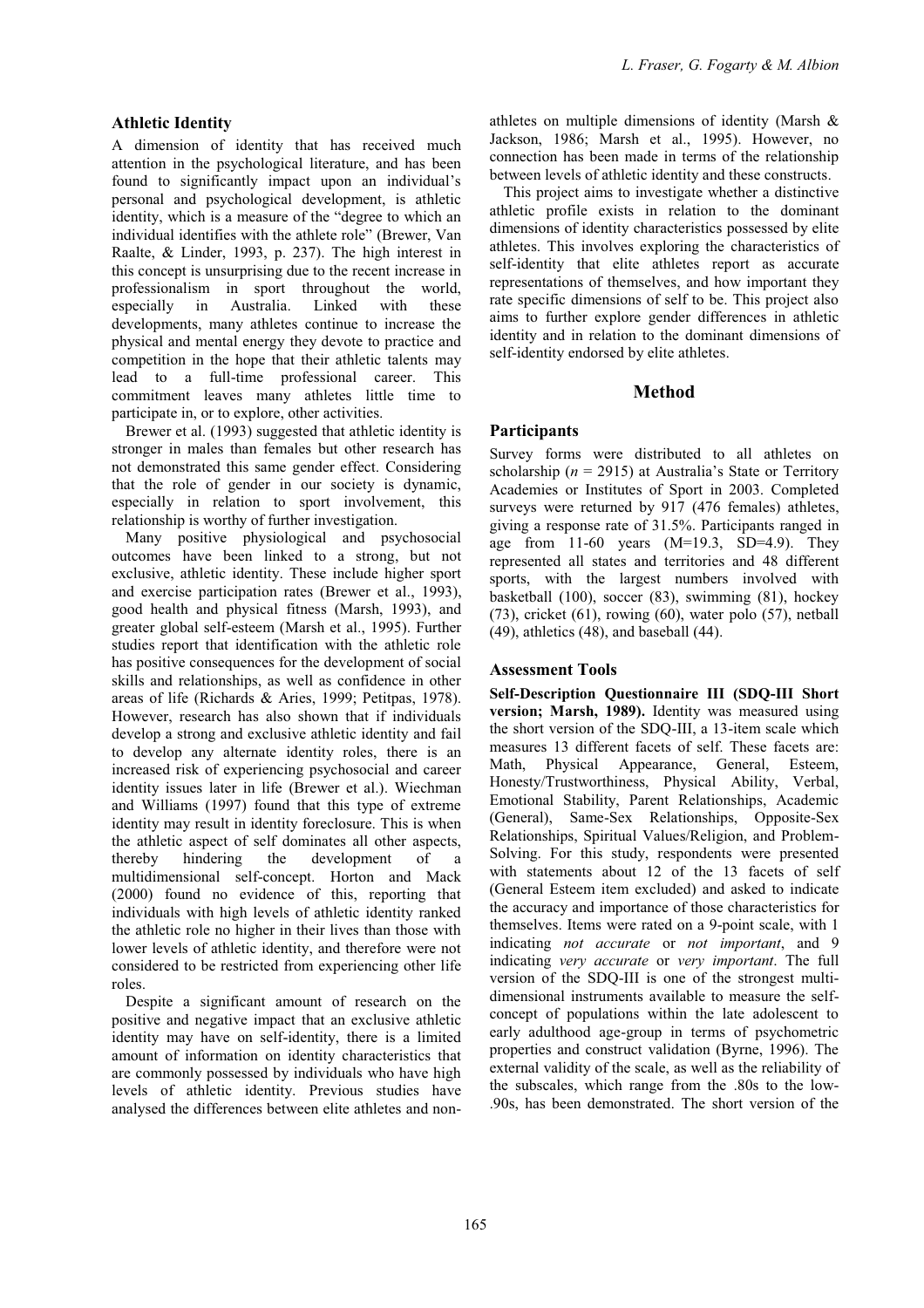#### **Athletic Identity**

A dimension of identity that has received much attention in the psychological literature, and has been found to significantly impact upon an individual's personal and psychological development, is athletic identity, which is a measure of the "degree to which an individual identifies with the athlete role" (Brewer, Van Raalte, & Linder, 1993, p. 237). The high interest in this concept is unsurprising due to the recent increase in professionalism in sport throughout the world, especially in Australia. Linked with these developments, many athletes continue to increase the physical and mental energy they devote to practice and competition in the hope that their athletic talents may lead to a full-time professional career. This commitment leaves many athletes little time to participate in, or to explore, other activities.

Brewer et al. (1993) suggested that athletic identity is stronger in males than females but other research has not demonstrated this same gender effect. Considering that the role of gender in our society is dynamic, especially in relation to sport involvement, this relationship is worthy of further investigation.

Many positive physiological and psychosocial outcomes have been linked to a strong, but not exclusive, athletic identity. These include higher sport and exercise participation rates (Brewer et al., 1993), good health and physical fitness (Marsh, 1993), and greater global self-esteem (Marsh et al., 1995). Further studies report that identification with the athletic role has positive consequences for the development of social skills and relationships, as well as confidence in other areas of life (Richards & Aries, 1999; Petitpas, 1978). However, research has also shown that if individuals develop a strong and exclusive athletic identity and fail to develop any alternate identity roles, there is an increased risk of experiencing psychosocial and career identity issues later in life (Brewer et al.). Wiechman and Williams (1997) found that this type of extreme identity may result in identity foreclosure. This is when the athletic aspect of self dominates all other aspects, thereby hindering the development of a multidimensional self-concept. Horton and Mack (2000) found no evidence of this, reporting that individuals with high levels of athletic identity ranked the athletic role no higher in their lives than those with lower levels of athletic identity, and therefore were not considered to be restricted from experiencing other life roles.

Despite a significant amount of research on the positive and negative impact that an exclusive athletic identity may have on self-identity, there is a limited amount of information on identity characteristics that are commonly possessed by individuals who have high levels of athletic identity. Previous studies have analysed the differences between elite athletes and nonathletes on multiple dimensions of identity (Marsh & Jackson, 1986; Marsh et al., 1995). However, no connection has been made in terms of the relationship between levels of athletic identity and these constructs.

This project aims to investigate whether a distinctive athletic profile exists in relation to the dominant dimensions of identity characteristics possessed by elite athletes. This involves exploring the characteristics of self-identity that elite athletes report as accurate representations of themselves, and how important they rate specific dimensions of self to be. This project also aims to further explore gender differences in athletic identity and in relation to the dominant dimensions of self-identity endorsed by elite athletes.

#### **Method**

## **Participants**

Survey forms were distributed to all athletes on scholarship ( $n = 2915$ ) at Australia's State or Territory Academies or Institutes of Sport in 2003. Completed surveys were returned by 917 (476 females) athletes, giving a response rate of 31.5%. Participants ranged in age from  $11-60$  years  $(M=19.3, SD=4.9)$ . They represented all states and territories and 48 different sports, with the largest numbers involved with basketball (100), soccer (83), swimming (81), hockey (73), cricket (61), rowing (60), water polo (57), netball (49), athletics (48), and baseball (44).

#### **Assessment Tools**

**Self-Description Questionnaire III (SDQ-III Short version; Marsh, 1989).** Identity was measured using the short version of the SDQ-III, a 13-item scale which measures 13 different facets of self. These facets are: Math, Physical Appearance, General, Esteem, Honesty/Trustworthiness, Physical Ability, Verbal, Emotional Stability, Parent Relationships, Academic (General), Same-Sex Relationships, Opposite-Sex Relationships, Spiritual Values/Religion, and Problem-Solving. For this study, respondents were presented with statements about 12 of the 13 facets of self (General Esteem item excluded) and asked to indicate the accuracy and importance of those characteristics for themselves. Items were rated on a 9-point scale, with 1 indicating *not accurate* or *not important*, and 9 indicating *very accurate* or *very important*. The full version of the SDQ-III is one of the strongest multidimensional instruments available to measure the selfconcept of populations within the late adolescent to early adulthood age-group in terms of psychometric properties and construct validation (Byrne, 1996). The external validity of the scale, as well as the reliability of the subscales, which range from the .80s to the low- .90s, has been demonstrated. The short version of the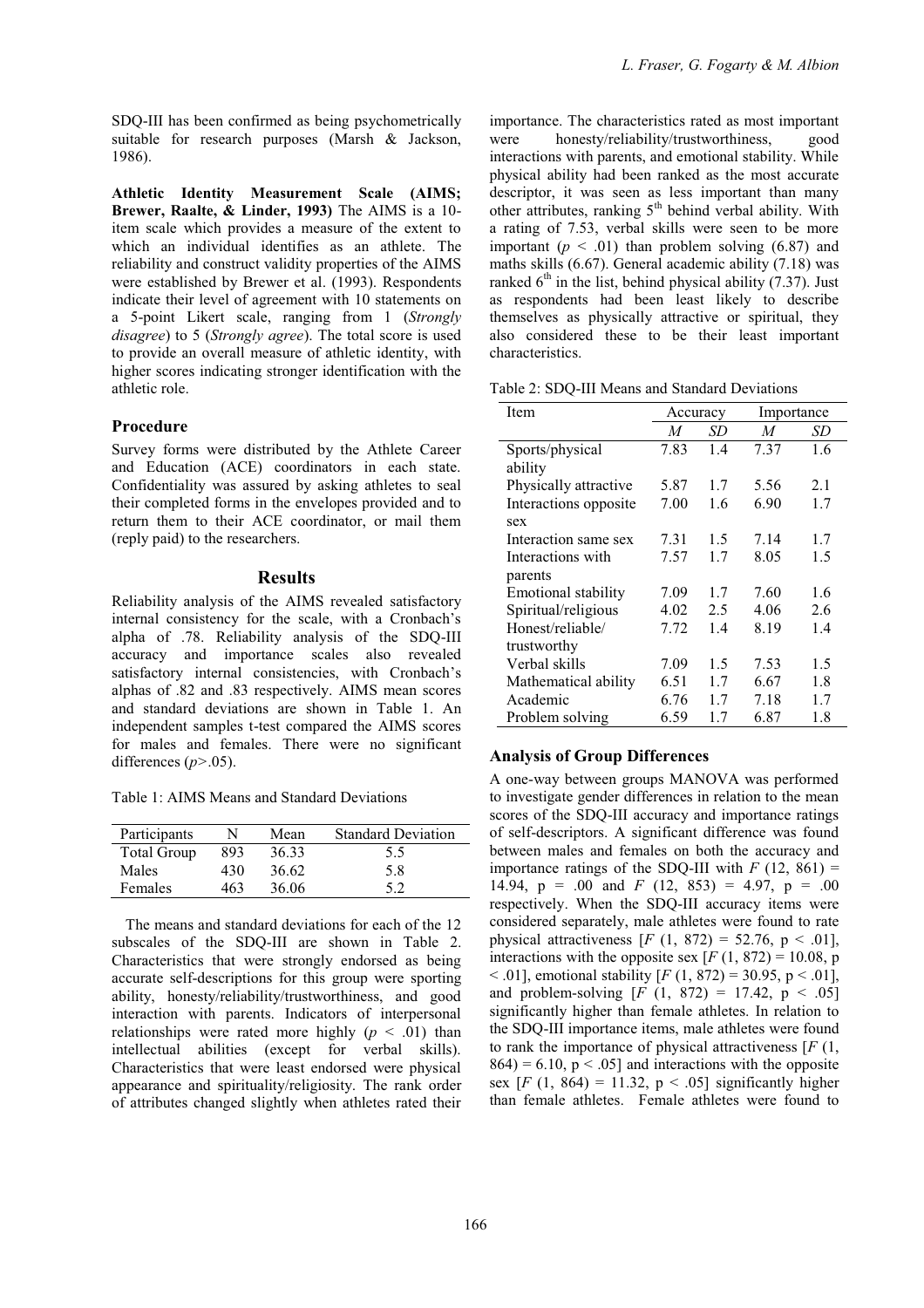SDQ-III has been confirmed as being psychometrically suitable for research purposes (Marsh & Jackson, 1986).

**Athletic Identity Measurement Scale (AIMS; Brewer, Raalte, & Linder, 1993)** The AIMS is a 10 item scale which provides a measure of the extent to which an individual identifies as an athlete. The reliability and construct validity properties of the AIMS were established by Brewer et al. (1993). Respondents indicate their level of agreement with 10 statements on a 5-point Likert scale, ranging from 1 (*Strongly disagree*) to 5 (*Strongly agree*). The total score is used to provide an overall measure of athletic identity, with higher scores indicating stronger identification with the athletic role.

#### **Procedure**

Survey forms were distributed by the Athlete Career and Education (ACE) coordinators in each state. Confidentiality was assured by asking athletes to seal their completed forms in the envelopes provided and to return them to their ACE coordinator, or mail them (reply paid) to the researchers.

## **Results**

Reliability analysis of the AIMS revealed satisfactory internal consistency for the scale, with a Cronbach's alpha of .78. Reliability analysis of the SDQ-III accuracy and importance scales also revealed satisfactory internal consistencies, with Cronbach's alphas of .82 and .83 respectively. AIMS mean scores and standard deviations are shown in Table 1. An independent samples t-test compared the AIMS scores for males and females. There were no significant differences (*p>*.05).

Table 1: AIMS Means and Standard Deviations

| Participants       |     | Mean  | <b>Standard Deviation</b> |
|--------------------|-----|-------|---------------------------|
| <b>Total Group</b> | 893 | 36.33 | 5.5                       |
| Males              | 430 | 36.62 | 5.8                       |
| Females            | 463 | 36.06 | 5.2                       |

The means and standard deviations for each of the 12 subscales of the SDQ-III are shown in Table 2. Characteristics that were strongly endorsed as being accurate self-descriptions for this group were sporting ability, honesty/reliability/trustworthiness, and good interaction with parents. Indicators of interpersonal relationships were rated more highly  $(p < .01)$  than intellectual abilities (except for verbal skills). Characteristics that were least endorsed were physical appearance and spirituality/religiosity. The rank order of attributes changed slightly when athletes rated their

importance. The characteristics rated as most important were honesty/reliability/trustworthiness, good interactions with parents, and emotional stability. While physical ability had been ranked as the most accurate descriptor, it was seen as less important than many other attributes, ranking  $5<sup>th</sup>$  behind verbal ability. With a rating of 7.53, verbal skills were seen to be more important  $(p < .01)$  than problem solving  $(6.87)$  and maths skills (6.67). General academic ability (7.18) was ranked  $6<sup>th</sup>$  in the list, behind physical ability (7.37). Just as respondents had been least likely to describe themselves as physically attractive or spiritual, they also considered these to be their least important characteristics.

Table 2: SDQ-III Means and Standard Deviations

| Item                  | Accuracy |     | Importance |     |
|-----------------------|----------|-----|------------|-----|
|                       | M        | SD  | M          | SD  |
| Sports/physical       | 7.83     | 1.4 | 7.37       | 1.6 |
| ability               |          |     |            |     |
| Physically attractive | 5.87     | 1.7 | 5.56       | 2.1 |
| Interactions opposite | 7.00     | 1.6 | 6.90       | 1.7 |
| sex                   |          |     |            |     |
| Interaction same sex  | 7.31     | 1.5 | 7.14       | 1.7 |
| Interactions with     | 7.57     | 1.7 | 8.05       | 1.5 |
| parents               |          |     |            |     |
| Emotional stability   | 7.09     | 1.7 | 7.60       | 1.6 |
| Spiritual/religious   | 4.02     | 2.5 | 4.06       | 2.6 |
| Honest/reliable/      | 7.72     | 1.4 | 8.19       | 1.4 |
| trustworthy           |          |     |            |     |
| Verbal skills         | 7.09     | 1.5 | 7.53       | 1.5 |
| Mathematical ability  | 6.51     | 1.7 | 6.67       | 1.8 |
| Academic              | 6.76     | 1.7 | 7.18       | 1.7 |
| Problem solving       | 6.59     | 1.7 | 6.87       | 1.8 |

## **Analysis of Group Differences**

A one-way between groups MANOVA was performed to investigate gender differences in relation to the mean scores of the SDQ-III accuracy and importance ratings of self-descriptors. A significant difference was found between males and females on both the accuracy and importance ratings of the SDQ-III with  $F(12, 861) =$ 14.94,  $p = .00$  and *F* (12, 853) = 4.97,  $p = .00$ respectively. When the SDQ-III accuracy items were considered separately, male athletes were found to rate physical attractiveness  $[F (1, 872) = 52.76, p < .01]$ , interactions with the opposite sex  $[F(1, 872) = 10.08, p]$  $<$  0.01], emotional stability [*F* (1, 872) = 30.95, p  $<$  0.01], and problem-solving  $[F (1, 872) = 17.42, p < .05]$ significantly higher than female athletes. In relation to the SDQ-III importance items, male athletes were found to rank the importance of physical attractiveness [*F* (1,  $864$ ) = 6.10, p < .051 and interactions with the opposite sex  $[F (1, 864) = 11.32, p < .05]$  significantly higher than female athletes. Female athletes were found to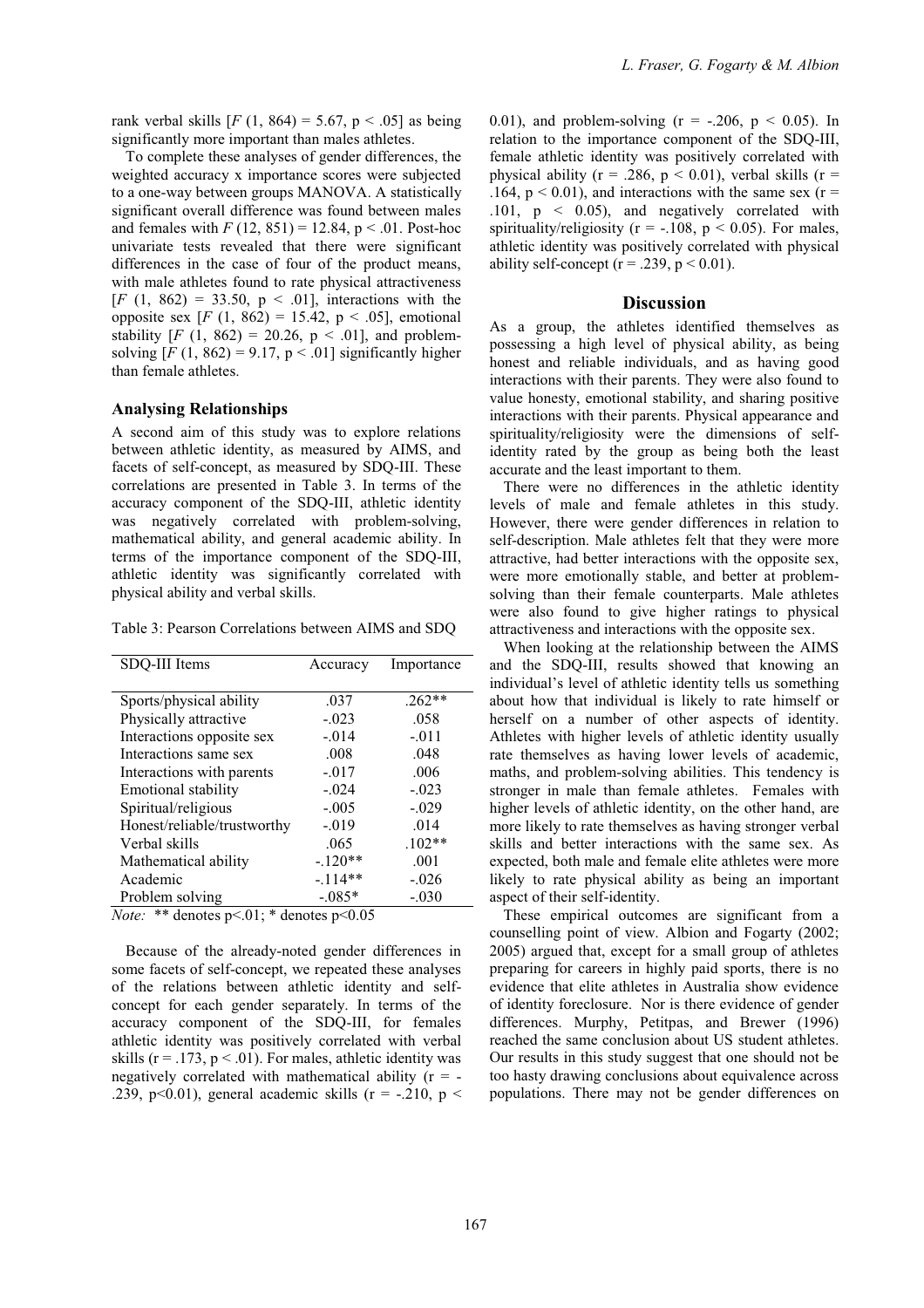rank verbal skills  $[F (1, 864) = 5.67, p < .05]$  as being significantly more important than males athletes.

To complete these analyses of gender differences, the weighted accuracy x importance scores were subjected to a one-way between groups MANOVA. A statistically significant overall difference was found between males and females with  $F(12, 851) = 12.84$ ,  $p < .01$ . Post-hoc univariate tests revealed that there were significant differences in the case of four of the product means, with male athletes found to rate physical attractiveness  $[F (1, 862) = 33.50, p < .01]$ , interactions with the opposite sex  $[F (1, 862) = 15.42, p < .05]$ , emotional stability  $[F (1, 862) = 20.26, p < .01]$ , and problemsolving  $[F (1, 862) = 9.17, p < .01]$  significantly higher than female athletes.

#### **Analysing Relationships**

A second aim of this study was to explore relations between athletic identity, as measured by AIMS, and facets of self-concept, as measured by SDQ-III. These correlations are presented in Table 3. In terms of the accuracy component of the SDQ-III, athletic identity was negatively correlated with problem-solving, mathematical ability, and general academic ability. In terms of the importance component of the SDQ-III, athletic identity was significantly correlated with physical ability and verbal skills.

Table 3: Pearson Correlations between AIMS and SDQ

| SDO-III Items                                                                        | Accuracy  | Importance |  |  |  |
|--------------------------------------------------------------------------------------|-----------|------------|--|--|--|
|                                                                                      |           |            |  |  |  |
| Sports/physical ability                                                              | .037      | $.262**$   |  |  |  |
| Physically attractive                                                                | $-.023$   | .058       |  |  |  |
| Interactions opposite sex                                                            | $-.014$   | $-.011$    |  |  |  |
| Interactions same sex                                                                | .008      | .048       |  |  |  |
| Interactions with parents                                                            | $-.017$   | .006       |  |  |  |
| Emotional stability                                                                  | $-.024$   | $-.023$    |  |  |  |
| Spiritual/religious                                                                  | $-.005$   | $-.029$    |  |  |  |
| Honest/reliable/trustworthy                                                          | $-.019$   | .014       |  |  |  |
| Verbal skills                                                                        | .065      | $.102**$   |  |  |  |
| Mathematical ability                                                                 | $-.120**$ | .001       |  |  |  |
| Academic                                                                             | $-.114**$ | $-.026$    |  |  |  |
| Problem solving                                                                      | $-0.085*$ | $-.030$    |  |  |  |
| $M_{\ell}$ $\star$ $\star$ 1. $\ldots$ $\star$ 0.1. $\star$ 1. $\ldots$ $\star$ 0.05 |           |            |  |  |  |

*Note:* \*\* denotes  $p<01$ ; \* denotes  $p<0.05$ 

Because of the already-noted gender differences in some facets of self-concept, we repeated these analyses of the relations between athletic identity and selfconcept for each gender separately. In terms of the accuracy component of the SDQ-III, for females athletic identity was positively correlated with verbal skills ( $r = .173$ ,  $p < .01$ ). For males, athletic identity was negatively correlated with mathematical ability  $(r = -$ .239, p<0.01), general academic skills ( $r = -0.210$ , p <

0.01), and problem-solving  $(r = -.206, p < 0.05)$ . In relation to the importance component of the SDQ-III, female athletic identity was positively correlated with physical ability ( $r = .286$ ,  $p < 0.01$ ), verbal skills ( $r =$ .164,  $p < 0.01$ ), and interactions with the same sex ( $r =$ .101, p < 0.05), and negatively correlated with spirituality/religiosity ( $r = -108$ ,  $p < 0.05$ ). For males, athletic identity was positively correlated with physical ability self-concept ( $r = .239$ ,  $p < 0.01$ ).

#### **Discussion**

As a group, the athletes identified themselves as possessing a high level of physical ability, as being honest and reliable individuals, and as having good interactions with their parents. They were also found to value honesty, emotional stability, and sharing positive interactions with their parents. Physical appearance and spirituality/religiosity were the dimensions of selfidentity rated by the group as being both the least accurate and the least important to them.

There were no differences in the athletic identity levels of male and female athletes in this study. However, there were gender differences in relation to self-description. Male athletes felt that they were more attractive, had better interactions with the opposite sex, were more emotionally stable, and better at problemsolving than their female counterparts. Male athletes were also found to give higher ratings to physical attractiveness and interactions with the opposite sex.

When looking at the relationship between the AIMS and the SDQ-III, results showed that knowing an individual's level of athletic identity tells us something about how that individual is likely to rate himself or herself on a number of other aspects of identity. Athletes with higher levels of athletic identity usually rate themselves as having lower levels of academic, maths, and problem-solving abilities. This tendency is stronger in male than female athletes. Females with higher levels of athletic identity, on the other hand, are more likely to rate themselves as having stronger verbal skills and better interactions with the same sex. As expected, both male and female elite athletes were more likely to rate physical ability as being an important aspect of their self-identity.

These empirical outcomes are significant from a counselling point of view. Albion and Fogarty (2002; 2005) argued that, except for a small group of athletes preparing for careers in highly paid sports, there is no evidence that elite athletes in Australia show evidence of identity foreclosure. Nor is there evidence of gender differences. Murphy, Petitpas, and Brewer (1996) reached the same conclusion about US student athletes. Our results in this study suggest that one should not be too hasty drawing conclusions about equivalence across populations. There may not be gender differences on